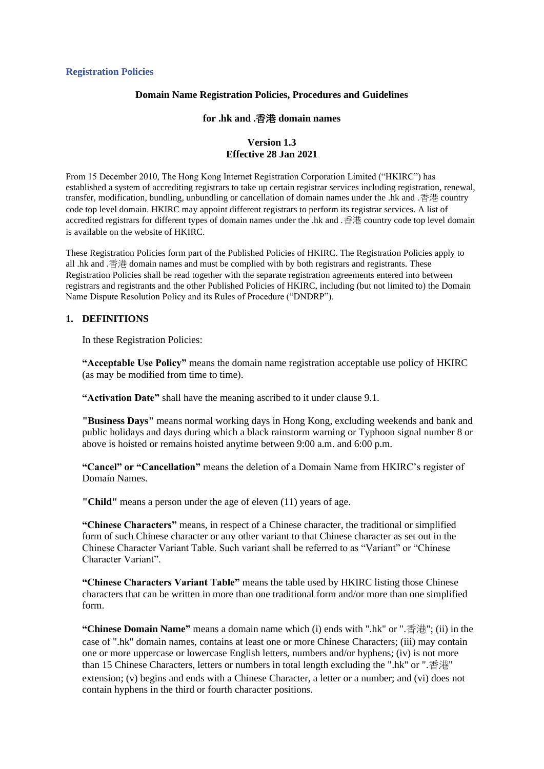# **Domain Name Registration Policies, Procedures and Guidelines**

#### **for .hk and .**香港 **domain names**

### **Version 1.3 Effective 28 Jan 2021**

From 15 December 2010, The Hong Kong Internet Registration Corporation Limited ("HKIRC") has established a system of accrediting registrars to take up certain registrar services including registration, renewal, transfer, modification, bundling, unbundling or cancellation of domain names under the .hk and .香港 country code top level domain. HKIRC may appoint different registrars to perform its registrar services. A list of accredited registrars for different types of domain names under the .hk and .香港 country code top level domain is available on the website of HKIRC.

These Registration Policies form part of the Published Policies of HKIRC. The Registration Policies apply to all .hk and .香港 domain names and must be complied with by both registrars and registrants. These Registration Policies shall be read together with the separate registration agreements entered into between registrars and registrants and the other Published Policies of HKIRC, including (but not limited to) the Domain Name Dispute Resolution Policy and its Rules of Procedure ("DNDRP").

### **1. DEFINITIONS**

In these Registration Policies:

**"Acceptable Use Policy"** means the domain name registration acceptable use policy of HKIRC (as may be modified from time to time).

**"Activation Date"** shall have the meaning ascribed to it under clause 9.1.

**"Business Days"** means normal working days in Hong Kong, excluding weekends and bank and public holidays and days during which a black rainstorm warning or Typhoon signal number 8 or above is hoisted or remains hoisted anytime between 9:00 a.m. and 6:00 p.m.

**"Cancel" or "Cancellation"** means the deletion of a Domain Name from HKIRC's register of Domain Names.

**"Child"** means a person under the age of eleven (11) years of age.

**"Chinese Characters"** means, in respect of a Chinese character, the traditional or simplified form of such Chinese character or any other variant to that Chinese character as set out in the Chinese Character Variant Table. Such variant shall be referred to as "Variant" or "Chinese Character Variant".

**"Chinese Characters Variant Table"** means the table used by HKIRC listing those Chinese characters that can be written in more than one traditional form and/or more than one simplified form.

**"Chinese Domain Name"** means a domain name which (i) ends with ".hk" or ".香港"; (ii) in the case of ".hk" domain names, contains at least one or more Chinese Characters; (iii) may contain one or more uppercase or lowercase English letters, numbers and/or hyphens; (iv) is not more than 15 Chinese Characters, letters or numbers in total length excluding the ".hk" or ".香港" extension; (v) begins and ends with a Chinese Character, a letter or a number; and (vi) does not contain hyphens in the third or fourth character positions.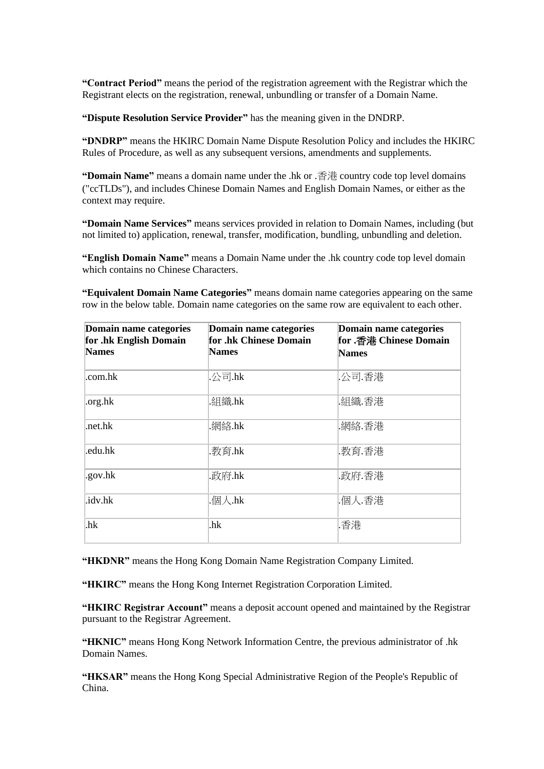**"Contract Period"** means the period of the registration agreement with the Registrar which the Registrant elects on the registration, renewal, unbundling or transfer of a Domain Name.

**"Dispute Resolution Service Provider"** has the meaning given in the DNDRP.

**"DNDRP"** means the HKIRC Domain Name Dispute Resolution Policy and includes the HKIRC Rules of Procedure, as well as any subsequent versions, amendments and supplements.

**"Domain Name"** means a domain name under the .hk or .香港 country code top level domains ("ccTLDs"), and includes Chinese Domain Names and English Domain Names, or either as the context may require.

**"Domain Name Services"** means services provided in relation to Domain Names, including (but not limited to) application, renewal, transfer, modification, bundling, unbundling and deletion.

**"English Domain Name"** means a Domain Name under the .hk country code top level domain which contains no Chinese Characters.

**"Equivalent Domain Name Categories"** means domain name categories appearing on the same row in the below table. Domain name categories on the same row are equivalent to each other.

| Domain name categories<br>for .hk English Domain<br><b>Names</b> | Domain name categories<br>for .hk Chinese Domain<br><b>Names</b> | Domain name categories<br>for .香港 Chinese Domain<br><b>Names</b> |
|------------------------------------------------------------------|------------------------------------------------------------------|------------------------------------------------------------------|
| .com.hk                                                          | .公司.hk                                                           | .公司.香港                                                           |
| .org.hk                                                          | .組織.hk                                                           | .組織.香港                                                           |
| .net.hk                                                          | .網絡.hk                                                           | .網絡.香港                                                           |
| .edu.hk                                                          | .教育.hk                                                           | .教育.香港                                                           |
| .gov.hk                                                          | .政府.hk                                                           | .政府.香港                                                           |
| .idv.hk                                                          | .個人.hk                                                           | .個人.香港                                                           |
| .hk                                                              | .hk                                                              | .香港                                                              |

**"HKDNR"** means the Hong Kong Domain Name Registration Company Limited.

**"HKIRC"** means the Hong Kong Internet Registration Corporation Limited.

**"HKIRC Registrar Account"** means a deposit account opened and maintained by the Registrar pursuant to the Registrar Agreement.

**"HKNIC"** means Hong Kong Network Information Centre, the previous administrator of .hk Domain Names.

**"HKSAR"** means the Hong Kong Special Administrative Region of the People's Republic of China.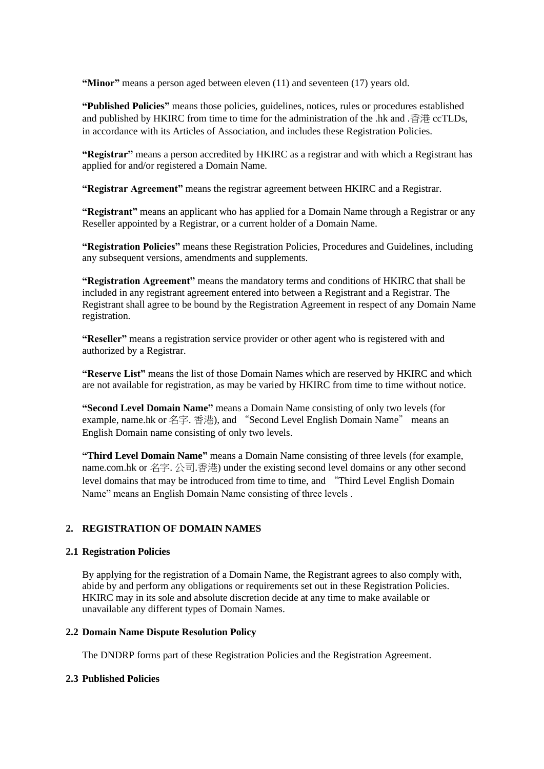**"Minor"** means a person aged between eleven (11) and seventeen (17) years old.

**"Published Policies"** means those policies, guidelines, notices, rules or procedures established and published by HKIRC from time to time for the administration of the .hk and .香港 ccTLDs, in accordance with its Articles of Association, and includes these Registration Policies.

**"Registrar"** means a person accredited by HKIRC as a registrar and with which a Registrant has applied for and/or registered a Domain Name.

**"Registrar Agreement"** means the registrar agreement between HKIRC and a Registrar.

**"Registrant"** means an applicant who has applied for a Domain Name through a Registrar or any Reseller appointed by a Registrar, or a current holder of a Domain Name.

**"Registration Policies"** means these Registration Policies, Procedures and Guidelines, including any subsequent versions, amendments and supplements.

**"Registration Agreement"** means the mandatory terms and conditions of HKIRC that shall be included in any registrant agreement entered into between a Registrant and a Registrar. The Registrant shall agree to be bound by the Registration Agreement in respect of any Domain Name registration.

**"Reseller"** means a registration service provider or other agent who is registered with and authorized by a Registrar.

**"Reserve List"** means the list of those Domain Names which are reserved by HKIRC and which are not available for registration, as may be varied by HKIRC from time to time without notice.

**"Second Level Domain Name"** means a Domain Name consisting of only two levels (for example, name.hk or 名字. 香港), and "Second Level English Domain Name" means an English Domain name consisting of only two levels.

**"Third Level Domain Name"** means a Domain Name consisting of three levels (for example, name.com.hk or 名字. 公司.香港) under the existing second level domains or any other second level domains that may be introduced from time to time, and "Third Level English Domain Name" means an English Domain Name consisting of three levels .

# **2. REGISTRATION OF DOMAIN NAMES**

### **2.1 Registration Policies**

By applying for the registration of a Domain Name, the Registrant agrees to also comply with, abide by and perform any obligations or requirements set out in these Registration Policies. HKIRC may in its sole and absolute discretion decide at any time to make available or unavailable any different types of Domain Names.

### **2.2 Domain Name Dispute Resolution Policy**

The DNDRP forms part of these Registration Policies and the Registration Agreement.

# **2.3 Published Policies**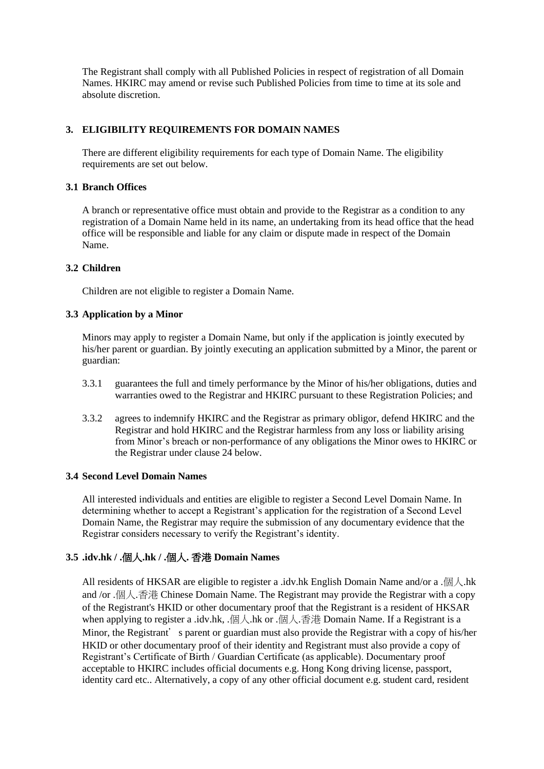The Registrant shall comply with all Published Policies in respect of registration of all Domain Names. HKIRC may amend or revise such Published Policies from time to time at its sole and absolute discretion.

# **3. ELIGIBILITY REQUIREMENTS FOR DOMAIN NAMES**

There are different eligibility requirements for each type of Domain Name. The eligibility requirements are set out below.

### **3.1 Branch Offices**

A branch or representative office must obtain and provide to the Registrar as a condition to any registration of a Domain Name held in its name, an undertaking from its head office that the head office will be responsible and liable for any claim or dispute made in respect of the Domain Name.

# **3.2 Children**

Children are not eligible to register a Domain Name.

# **3.3 Application by a Minor**

Minors may apply to register a Domain Name, but only if the application is jointly executed by his/her parent or guardian. By jointly executing an application submitted by a Minor, the parent or guardian:

- 3.3.1 guarantees the full and timely performance by the Minor of his/her obligations, duties and warranties owed to the Registrar and HKIRC pursuant to these Registration Policies; and
- 3.3.2 agrees to indemnify HKIRC and the Registrar as primary obligor, defend HKIRC and the Registrar and hold HKIRC and the Registrar harmless from any loss or liability arising from Minor's breach or non-performance of any obligations the Minor owes to HKIRC or the Registrar under clause 24 below.

# **3.4 Second Level Domain Names**

All interested individuals and entities are eligible to register a Second Level Domain Name. In determining whether to accept a Registrant's application for the registration of a Second Level Domain Name, the Registrar may require the submission of any documentary evidence that the Registrar considers necessary to verify the Registrant's identity.

# **3.5 .idv.hk / .**個人**.hk / .**個人**.** 香港 **Domain Names**

All residents of HKSAR are eligible to register a .idv.hk English Domain Name and/or a . $\Box$  .hk and /or .個人.香港 Chinese Domain Name. The Registrant may provide the Registrar with a copy of the Registrant's HKID or other documentary proof that the Registrant is a resident of HKSAR when applying to register a .idv.hk, .個人.hk or .個人.香港 Domain Name. If a Registrant is a Minor, the Registrant's parent or guardian must also provide the Registrar with a copy of his/her HKID or other documentary proof of their identity and Registrant must also provide a copy of Registrant's Certificate of Birth / Guardian Certificate (as applicable). Documentary proof acceptable to HKIRC includes official documents e.g. Hong Kong driving license, passport, identity card etc.. Alternatively, a copy of any other official document e.g. student card, resident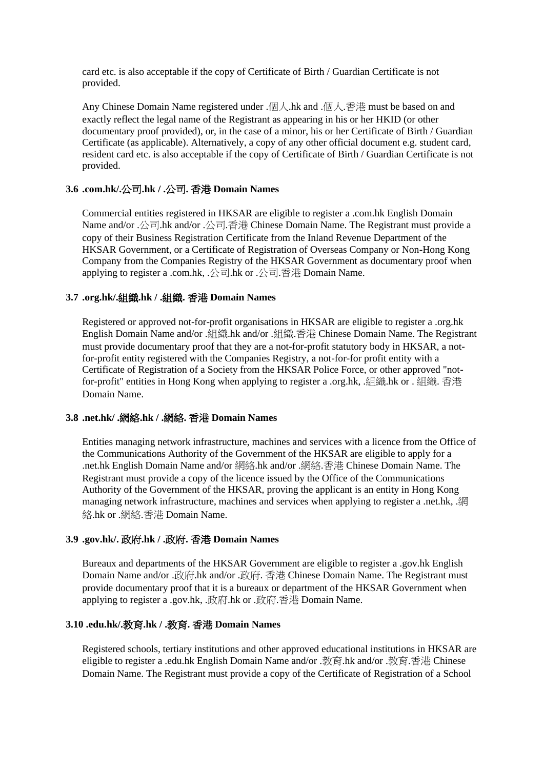card etc. is also acceptable if the copy of Certificate of Birth / Guardian Certificate is not provided.

Any Chinese Domain Name registered under .個人.hk and .個人.香港 must be based on and exactly reflect the legal name of the Registrant as appearing in his or her HKID (or other documentary proof provided), or, in the case of a minor, his or her Certificate of Birth / Guardian Certificate (as applicable). Alternatively, a copy of any other official document e.g. student card, resident card etc. is also acceptable if the copy of Certificate of Birth / Guardian Certificate is not provided.

# **3.6 .com.hk/.**公司**.hk / .**公司**.** 香港 **Domain Names**

Commercial entities registered in HKSAR are eligible to register a .com.hk English Domain Name and/or .公司.hk and/or .公司.香港 Chinese Domain Name. The Registrant must provide a copy of their Business Registration Certificate from the Inland Revenue Department of the HKSAR Government, or a Certificate of Registration of Overseas Company or Non-Hong Kong Company from the Companies Registry of the HKSAR Government as documentary proof when applying to register a .com.hk, .公司.hk or .公司.香港 Domain Name.

# **3.7 .org.hk/.**組織**.hk / .**組織**.** 香港 **Domain Names**

Registered or approved not-for-profit organisations in HKSAR are eligible to register a .org.hk English Domain Name and/or .組織.hk and/or .組織.香港 Chinese Domain Name. The Registrant must provide documentary proof that they are a not-for-profit statutory body in HKSAR, a notfor-profit entity registered with the Companies Registry, a not-for-for profit entity with a Certificate of Registration of a Society from the HKSAR Police Force, or other approved "notfor-profit" entities in Hong Kong when applying to register a .org.hk, .組織.hk or . 組織. 香港 Domain Name.

### **3.8 .net.hk/ .**網絡**.hk / .**網絡**.** 香港 **Domain Names**

Entities managing network infrastructure, machines and services with a licence from the Office of the Communications Authority of the Government of the HKSAR are eligible to apply for a .net.hk English Domain Name and/or 網絡.hk and/or .網絡.香港 Chinese Domain Name. The Registrant must provide a copy of the licence issued by the Office of the Communications Authority of the Government of the HKSAR, proving the applicant is an entity in Hong Kong managing network infrastructure, machines and services when applying to register a .net.hk, 網 絡.hk or .網絡.香港 Domain Name.

# **3.9 .gov.hk/.** 政府**.hk / .**政府**.** 香港 **Domain Names**

Bureaux and departments of the HKSAR Government are eligible to register a .gov.hk English Domain Name and/or .政府.hk and/or .政府. 香港 Chinese Domain Name. The Registrant must provide documentary proof that it is a bureaux or department of the HKSAR Government when applying to register a .gov.hk, .政府.hk or .政府.香港 Domain Name.

### **3.10 .edu.hk/.**教育**.hk / .**教育**.** 香港 **Domain Names**

Registered schools, tertiary institutions and other approved educational institutions in HKSAR are eligible to register a .edu.hk English Domain Name and/or .教育.hk and/or .教育.香港 Chinese Domain Name. The Registrant must provide a copy of the Certificate of Registration of a School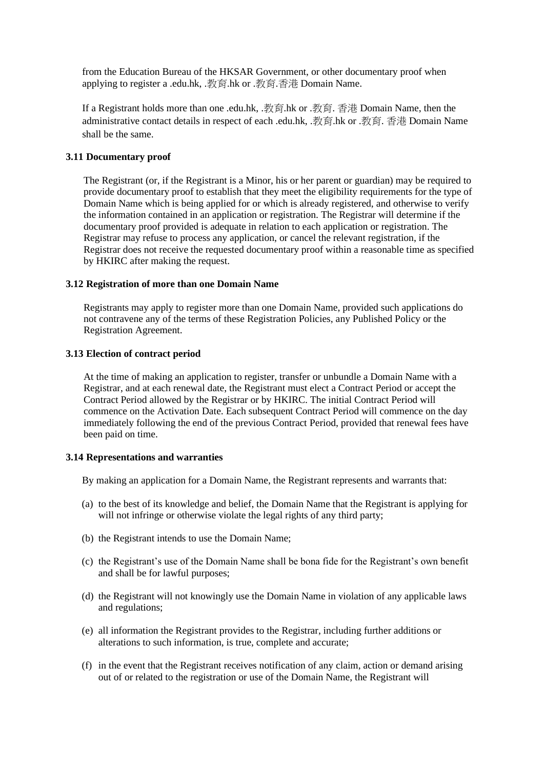from the Education Bureau of the HKSAR Government, or other documentary proof when applying to register a .edu.hk, .教育.hk or .教育.香港 Domain Name.

If a Registrant holds more than one .edu.hk, .教育.hk or .教育. 香港 Domain Name, then the administrative contact details in respect of each .edu.hk, .教育.hk or .教育. 香港 Domain Name shall be the same.

### **3.11 Documentary proof**

The Registrant (or, if the Registrant is a Minor, his or her parent or guardian) may be required to provide documentary proof to establish that they meet the eligibility requirements for the type of Domain Name which is being applied for or which is already registered, and otherwise to verify the information contained in an application or registration. The Registrar will determine if the documentary proof provided is adequate in relation to each application or registration. The Registrar may refuse to process any application, or cancel the relevant registration, if the Registrar does not receive the requested documentary proof within a reasonable time as specified by HKIRC after making the request.

#### **3.12 Registration of more than one Domain Name**

Registrants may apply to register more than one Domain Name, provided such applications do not contravene any of the terms of these Registration Policies, any Published Policy or the Registration Agreement.

#### **3.13 Election of contract period**

At the time of making an application to register, transfer or unbundle a Domain Name with a Registrar, and at each renewal date, the Registrant must elect a Contract Period or accept the Contract Period allowed by the Registrar or by HKIRC. The initial Contract Period will commence on the Activation Date. Each subsequent Contract Period will commence on the day immediately following the end of the previous Contract Period, provided that renewal fees have been paid on time.

### **3.14 Representations and warranties**

By making an application for a Domain Name, the Registrant represents and warrants that:

- (a) to the best of its knowledge and belief, the Domain Name that the Registrant is applying for will not infringe or otherwise violate the legal rights of any third party;
- (b) the Registrant intends to use the Domain Name;
- (c) the Registrant's use of the Domain Name shall be bona fide for the Registrant's own benefit and shall be for lawful purposes;
- (d) the Registrant will not knowingly use the Domain Name in violation of any applicable laws and regulations;
- (e) all information the Registrant provides to the Registrar, including further additions or alterations to such information, is true, complete and accurate;
- (f) in the event that the Registrant receives notification of any claim, action or demand arising out of or related to the registration or use of the Domain Name, the Registrant will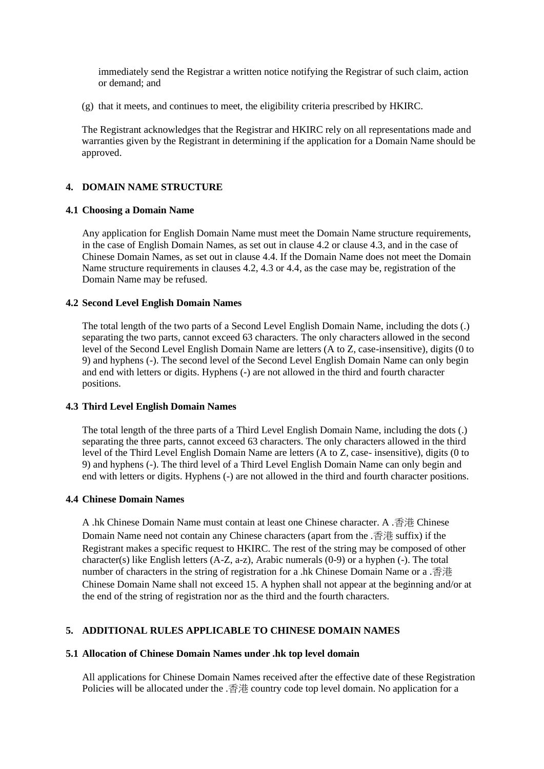immediately send the Registrar a written notice notifying the Registrar of such claim, action or demand; and

(g) that it meets, and continues to meet, the eligibility criteria prescribed by HKIRC.

The Registrant acknowledges that the Registrar and HKIRC rely on all representations made and warranties given by the Registrant in determining if the application for a Domain Name should be approved.

### **4. DOMAIN NAME STRUCTURE**

### **4.1 Choosing a Domain Name**

Any application for English Domain Name must meet the Domain Name structure requirements, in the case of English Domain Names, as set out in clause 4.2 or clause 4.3, and in the case of Chinese Domain Names, as set out in clause 4.4. If the Domain Name does not meet the Domain Name structure requirements in clauses 4.2, 4.3 or 4.4, as the case may be, registration of the Domain Name may be refused.

#### **4.2 Second Level English Domain Names**

The total length of the two parts of a Second Level English Domain Name, including the dots (.) separating the two parts, cannot exceed 63 characters. The only characters allowed in the second level of the Second Level English Domain Name are letters (A to Z, case-insensitive), digits (0 to 9) and hyphens (-). The second level of the Second Level English Domain Name can only begin and end with letters or digits. Hyphens (-) are not allowed in the third and fourth character positions.

### **4.3 Third Level English Domain Names**

The total length of the three parts of a Third Level English Domain Name, including the dots (.) separating the three parts, cannot exceed 63 characters. The only characters allowed in the third level of the Third Level English Domain Name are letters (A to Z, case- insensitive), digits (0 to 9) and hyphens (-). The third level of a Third Level English Domain Name can only begin and end with letters or digits. Hyphens (-) are not allowed in the third and fourth character positions.

### **4.4 Chinese Domain Names**

A .hk Chinese Domain Name must contain at least one Chinese character. A .香港 Chinese Domain Name need not contain any Chinese characters (apart from the .香港 suffix) if the Registrant makes a specific request to HKIRC. The rest of the string may be composed of other character(s) like English letters (A-Z, a-z), Arabic numerals (0-9) or a hyphen (-). The total number of characters in the string of registration for a .hk Chinese Domain Name or a .香港 Chinese Domain Name shall not exceed 15. A hyphen shall not appear at the beginning and/or at the end of the string of registration nor as the third and the fourth characters.

### **5. ADDITIONAL RULES APPLICABLE TO CHINESE DOMAIN NAMES**

### **5.1 Allocation of Chinese Domain Names under .hk top level domain**

All applications for Chinese Domain Names received after the effective date of these Registration Policies will be allocated under the .香港 country code top level domain. No application for a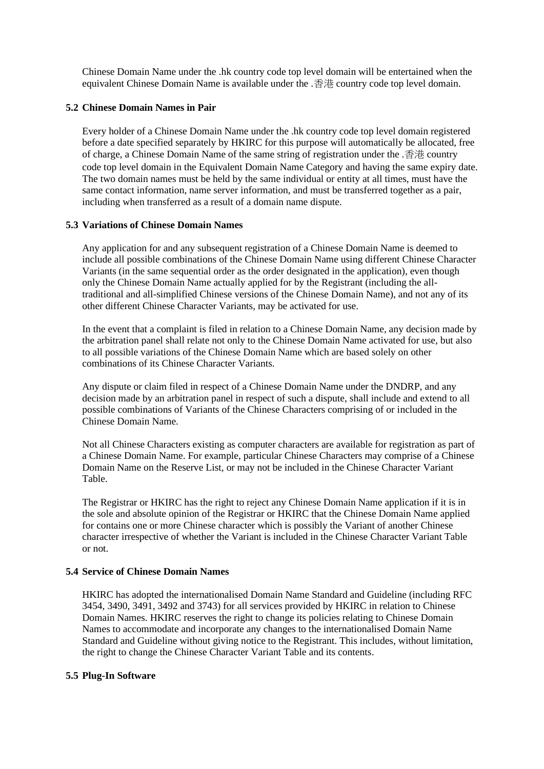Chinese Domain Name under the .hk country code top level domain will be entertained when the equivalent Chinese Domain Name is available under the .香港 country code top level domain.

### **5.2 Chinese Domain Names in Pair**

Every holder of a Chinese Domain Name under the .hk country code top level domain registered before a date specified separately by HKIRC for this purpose will automatically be allocated, free of charge, a Chinese Domain Name of the same string of registration under the .香港 country code top level domain in the Equivalent Domain Name Category and having the same expiry date. The two domain names must be held by the same individual or entity at all times, must have the same contact information, name server information, and must be transferred together as a pair, including when transferred as a result of a domain name dispute.

### **5.3 Variations of Chinese Domain Names**

Any application for and any subsequent registration of a Chinese Domain Name is deemed to include all possible combinations of the Chinese Domain Name using different Chinese Character Variants (in the same sequential order as the order designated in the application), even though only the Chinese Domain Name actually applied for by the Registrant (including the alltraditional and all-simplified Chinese versions of the Chinese Domain Name), and not any of its other different Chinese Character Variants, may be activated for use.

In the event that a complaint is filed in relation to a Chinese Domain Name, any decision made by the arbitration panel shall relate not only to the Chinese Domain Name activated for use, but also to all possible variations of the Chinese Domain Name which are based solely on other combinations of its Chinese Character Variants.

Any dispute or claim filed in respect of a Chinese Domain Name under the DNDRP, and any decision made by an arbitration panel in respect of such a dispute, shall include and extend to all possible combinations of Variants of the Chinese Characters comprising of or included in the Chinese Domain Name.

Not all Chinese Characters existing as computer characters are available for registration as part of a Chinese Domain Name. For example, particular Chinese Characters may comprise of a Chinese Domain Name on the Reserve List, or may not be included in the Chinese Character Variant Table.

The Registrar or HKIRC has the right to reject any Chinese Domain Name application if it is in the sole and absolute opinion of the Registrar or HKIRC that the Chinese Domain Name applied for contains one or more Chinese character which is possibly the Variant of another Chinese character irrespective of whether the Variant is included in the Chinese Character Variant Table or not.

#### **5.4 Service of Chinese Domain Names**

HKIRC has adopted the internationalised Domain Name Standard and Guideline (including RFC 3454, 3490, 3491, 3492 and 3743) for all services provided by HKIRC in relation to Chinese Domain Names. HKIRC reserves the right to change its policies relating to Chinese Domain Names to accommodate and incorporate any changes to the internationalised Domain Name Standard and Guideline without giving notice to the Registrant. This includes, without limitation, the right to change the Chinese Character Variant Table and its contents.

### **5.5 Plug-In Software**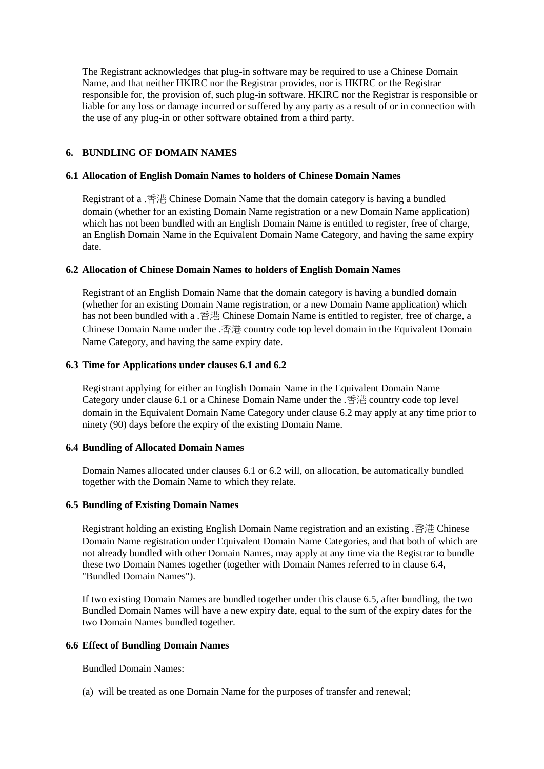The Registrant acknowledges that plug-in software may be required to use a Chinese Domain Name, and that neither HKIRC nor the Registrar provides, nor is HKIRC or the Registrar responsible for, the provision of, such plug-in software. HKIRC nor the Registrar is responsible or liable for any loss or damage incurred or suffered by any party as a result of or in connection with the use of any plug-in or other software obtained from a third party.

### **6. BUNDLING OF DOMAIN NAMES**

### **6.1 Allocation of English Domain Names to holders of Chinese Domain Names**

Registrant of a .香港 Chinese Domain Name that the domain category is having a bundled domain (whether for an existing Domain Name registration or a new Domain Name application) which has not been bundled with an English Domain Name is entitled to register, free of charge, an English Domain Name in the Equivalent Domain Name Category, and having the same expiry date.

### **6.2 Allocation of Chinese Domain Names to holders of English Domain Names**

Registrant of an English Domain Name that the domain category is having a bundled domain (whether for an existing Domain Name registration, or a new Domain Name application) which has not been bundled with a .香港 Chinese Domain Name is entitled to register, free of charge, a Chinese Domain Name under the .香港 country code top level domain in the Equivalent Domain Name Category, and having the same expiry date.

### **6.3 Time for Applications under clauses 6.1 and 6.2**

Registrant applying for either an English Domain Name in the Equivalent Domain Name Category under clause 6.1 or a Chinese Domain Name under the .香港 country code top level domain in the Equivalent Domain Name Category under clause 6.2 may apply at any time prior to ninety (90) days before the expiry of the existing Domain Name.

# **6.4 Bundling of Allocated Domain Names**

Domain Names allocated under clauses 6.1 or 6.2 will, on allocation, be automatically bundled together with the Domain Name to which they relate.

# **6.5 Bundling of Existing Domain Names**

Registrant holding an existing English Domain Name registration and an existing .香港 Chinese Domain Name registration under Equivalent Domain Name Categories, and that both of which are not already bundled with other Domain Names, may apply at any time via the Registrar to bundle these two Domain Names together (together with Domain Names referred to in clause 6.4, "Bundled Domain Names").

If two existing Domain Names are bundled together under this clause 6.5, after bundling, the two Bundled Domain Names will have a new expiry date, equal to the sum of the expiry dates for the two Domain Names bundled together.

#### **6.6 Effect of Bundling Domain Names**

Bundled Domain Names:

(a) will be treated as one Domain Name for the purposes of transfer and renewal;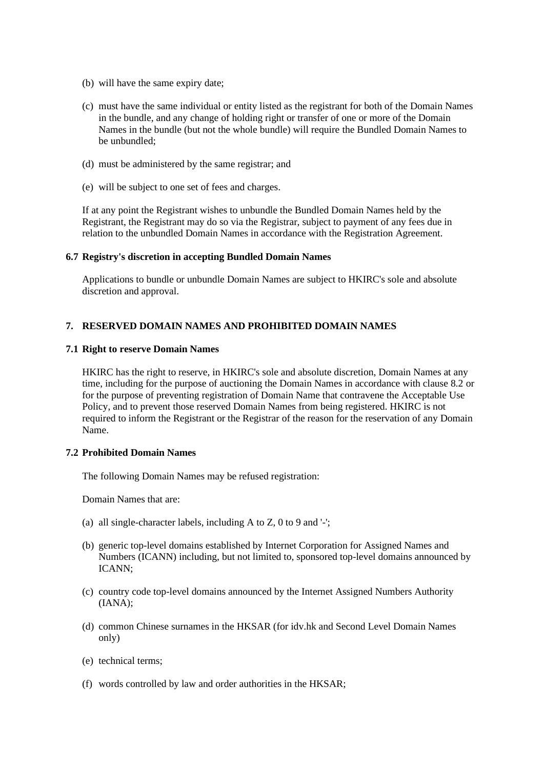- (b) will have the same expiry date;
- (c) must have the same individual or entity listed as the registrant for both of the Domain Names in the bundle, and any change of holding right or transfer of one or more of the Domain Names in the bundle (but not the whole bundle) will require the Bundled Domain Names to be unbundled;
- (d) must be administered by the same registrar; and
- (e) will be subject to one set of fees and charges.

If at any point the Registrant wishes to unbundle the Bundled Domain Names held by the Registrant, the Registrant may do so via the Registrar, subject to payment of any fees due in relation to the unbundled Domain Names in accordance with the Registration Agreement.

### **6.7 Registry's discretion in accepting Bundled Domain Names**

Applications to bundle or unbundle Domain Names are subject to HKIRC's sole and absolute discretion and approval.

### **7. RESERVED DOMAIN NAMES AND PROHIBITED DOMAIN NAMES**

#### **7.1 Right to reserve Domain Names**

HKIRC has the right to reserve, in HKIRC's sole and absolute discretion, Domain Names at any time, including for the purpose of auctioning the Domain Names in accordance with clause 8.2 or for the purpose of preventing registration of Domain Name that contravene the Acceptable Use Policy, and to prevent those reserved Domain Names from being registered. HKIRC is not required to inform the Registrant or the Registrar of the reason for the reservation of any Domain Name.

#### **7.2 Prohibited Domain Names**

The following Domain Names may be refused registration:

Domain Names that are:

- (a) all single-character labels, including A to Z, 0 to 9 and '-';
- (b) generic top-level domains established by Internet Corporation for Assigned Names and Numbers (ICANN) including, but not limited to, sponsored top-level domains announced by ICANN;
- (c) country code top-level domains announced by the Internet Assigned Numbers Authority (IANA);
- (d) common Chinese surnames in the HKSAR (for idv.hk and Second Level Domain Names only)
- (e) technical terms;
- (f) words controlled by law and order authorities in the HKSAR;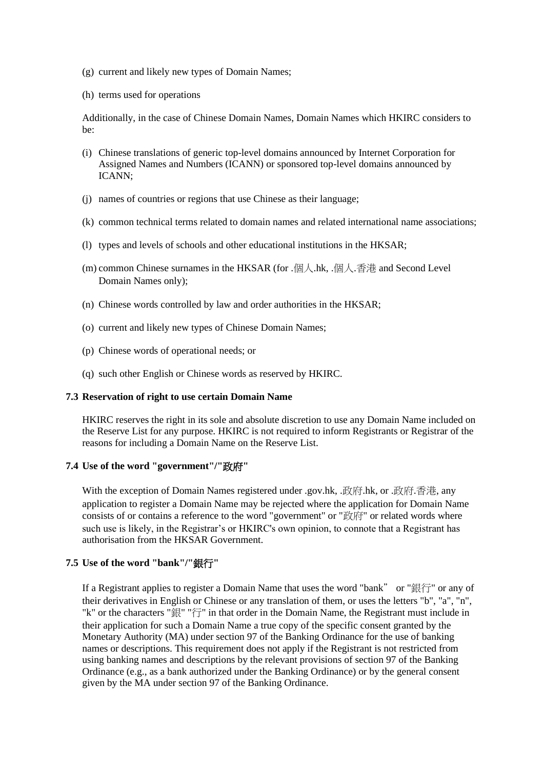- (g) current and likely new types of Domain Names;
- (h) terms used for operations

Additionally, in the case of Chinese Domain Names, Domain Names which HKIRC considers to be:

- (i) Chinese translations of generic top-level domains announced by Internet Corporation for Assigned Names and Numbers (ICANN) or sponsored top-level domains announced by ICANN;
- (j) names of countries or regions that use Chinese as their language;
- (k) common technical terms related to domain names and related international name associations;
- (l) types and levels of schools and other educational institutions in the HKSAR;
- (m) common Chinese surnames in the HKSAR (for .個人.hk, .個人.香港 and Second Level Domain Names only);
- (n) Chinese words controlled by law and order authorities in the HKSAR;
- (o) current and likely new types of Chinese Domain Names;
- (p) Chinese words of operational needs; or
- (q) such other English or Chinese words as reserved by HKIRC.

#### **7.3 Reservation of right to use certain Domain Name**

HKIRC reserves the right in its sole and absolute discretion to use any Domain Name included on the Reserve List for any purpose. HKIRC is not required to inform Registrants or Registrar of the reasons for including a Domain Name on the Reserve List.

### **7.4 Use of the word "government"/"**政府**"**

With the exception of Domain Names registered under .gov.hk, .政府.hk, or .政府.香港, any application to register a Domain Name may be rejected where the application for Domain Name consists of or contains a reference to the word "government" or "政府" or related words where such use is likely, in the Registrar's or HKIRC's own opinion, to connote that a Registrant has authorisation from the HKSAR Government.

# **7.5 Use of the word "bank"/"**銀行**"**

If a Registrant applies to register a Domain Name that uses the word "bank" or "銀行" or any of their derivatives in English or Chinese or any translation of them, or uses the letters "b", "a", "n", "k" or the characters "銀" "行" in that order in the Domain Name, the Registrant must include in their application for such a Domain Name a true copy of the specific consent granted by the Monetary Authority (MA) under section 97 of the Banking Ordinance for the use of banking names or descriptions. This requirement does not apply if the Registrant is not restricted from using banking names and descriptions by the relevant provisions of section 97 of the Banking Ordinance (e.g., as a bank authorized under the Banking Ordinance) or by the general consent given by the MA under section 97 of the Banking Ordinance.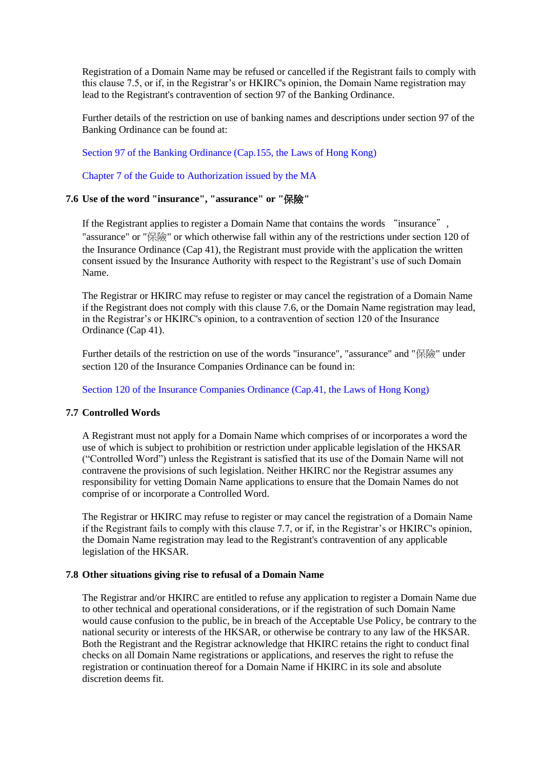Registration of a Domain Name may be refused or cancelled if the Registrant fails to comply with this clause 7.5, or if, in the Registrar's or HKIRC's opinion, the Domain Name registration may lead to the Registrant's contravention of section 97 of the Banking Ordinance.

Further details of the restriction on use of banking names and descriptions under section 97 of the Banking Ordinance can be found at:

[Section 97 of the Banking Ordinance \(Cap.155, the Laws of Hong Kong\)](https://www.elegislation.gov.hk/hk/cap155?xpid=ID_1438402729997_001)

[Chapter 7 of the Guide to Authorization issued by the MA](https://www.hkma.gov.hk/media/eng/doc/key-functions/banking-stability/guide-authorization/Chapter-7.pdf)

# **7.6 Use of the word "insurance", "assurance" or "**保險**"**

If the Registrant applies to register a Domain Name that contains the words "insurance", "assurance" or "保險" or which otherwise fall within any of the restrictions under section 120 of the Insurance Ordinance (Cap 41), the Registrant must provide with the application the written consent issued by the Insurance Authority with respect to the Registrant's use of such Domain Name.

The Registrar or HKIRC may refuse to register or may cancel the registration of a Domain Name if the Registrant does not comply with this clause 7.6, or the Domain Name registration may lead, in the Registrar's or HKIRC's opinion, to a contravention of section 120 of the Insurance Ordinance (Cap 41).

Further details of the restriction on use of the words "insurance", "assurance" and "保險" under section 120 of the Insurance Companies Ordinance can be found in:

[Section 120 of the Insurance Companies Ordinance \(Cap.41, the Laws of Hong Kong\)](https://www.elegislation.gov.hk/hk/cap41!en?xpid=ID_1564629346258_001&INDEX_CS=N)

#### **7.7 Controlled Words**

A Registrant must not apply for a Domain Name which comprises of or incorporates a word the use of which is subject to prohibition or restriction under applicable legislation of the HKSAR ("Controlled Word") unless the Registrant is satisfied that its use of the Domain Name will not contravene the provisions of such legislation. Neither HKIRC nor the Registrar assumes any responsibility for vetting Domain Name applications to ensure that the Domain Names do not comprise of or incorporate a Controlled Word.

The Registrar or HKIRC may refuse to register or may cancel the registration of a Domain Name if the Registrant fails to comply with this clause 7.7, or if, in the Registrar's or HKIRC's opinion, the Domain Name registration may lead to the Registrant's contravention of any applicable legislation of the HKSAR.

#### **7.8 Other situations giving rise to refusal of a Domain Name**

The Registrar and/or HKIRC are entitled to refuse any application to register a Domain Name due to other technical and operational considerations, or if the registration of such Domain Name would cause confusion to the public, be in breach of the Acceptable Use Policy, be contrary to the national security or interests of the HKSAR, or otherwise be contrary to any law of the HKSAR. Both the Registrant and the Registrar acknowledge that HKIRC retains the right to conduct final checks on all Domain Name registrations or applications, and reserves the right to refuse the registration or continuation thereof for a Domain Name if HKIRC in its sole and absolute discretion deems fit.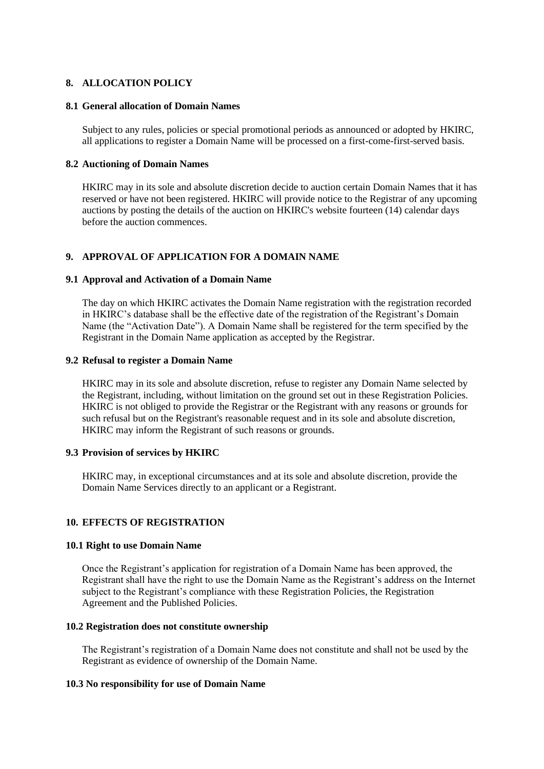### **8. ALLOCATION POLICY**

### **8.1 General allocation of Domain Names**

Subject to any rules, policies or special promotional periods as announced or adopted by HKIRC, all applications to register a Domain Name will be processed on a first-come-first-served basis.

### **8.2 Auctioning of Domain Names**

HKIRC may in its sole and absolute discretion decide to auction certain Domain Names that it has reserved or have not been registered. HKIRC will provide notice to the Registrar of any upcoming auctions by posting the details of the auction on HKIRC's website fourteen (14) calendar days before the auction commences.

# **9. APPROVAL OF APPLICATION FOR A DOMAIN NAME**

### **9.1 Approval and Activation of a Domain Name**

The day on which HKIRC activates the Domain Name registration with the registration recorded in HKIRC's database shall be the effective date of the registration of the Registrant's Domain Name (the "Activation Date"). A Domain Name shall be registered for the term specified by the Registrant in the Domain Name application as accepted by the Registrar.

#### **9.2 Refusal to register a Domain Name**

HKIRC may in its sole and absolute discretion, refuse to register any Domain Name selected by the Registrant, including, without limitation on the ground set out in these Registration Policies. HKIRC is not obliged to provide the Registrar or the Registrant with any reasons or grounds for such refusal but on the Registrant's reasonable request and in its sole and absolute discretion, HKIRC may inform the Registrant of such reasons or grounds.

### **9.3 Provision of services by HKIRC**

HKIRC may, in exceptional circumstances and at its sole and absolute discretion, provide the Domain Name Services directly to an applicant or a Registrant.

### **10. EFFECTS OF REGISTRATION**

#### **10.1 Right to use Domain Name**

Once the Registrant's application for registration of a Domain Name has been approved, the Registrant shall have the right to use the Domain Name as the Registrant's address on the Internet subject to the Registrant's compliance with these Registration Policies, the Registration Agreement and the Published Policies.

### **10.2 Registration does not constitute ownership**

The Registrant's registration of a Domain Name does not constitute and shall not be used by the Registrant as evidence of ownership of the Domain Name.

### **10.3 No responsibility for use of Domain Name**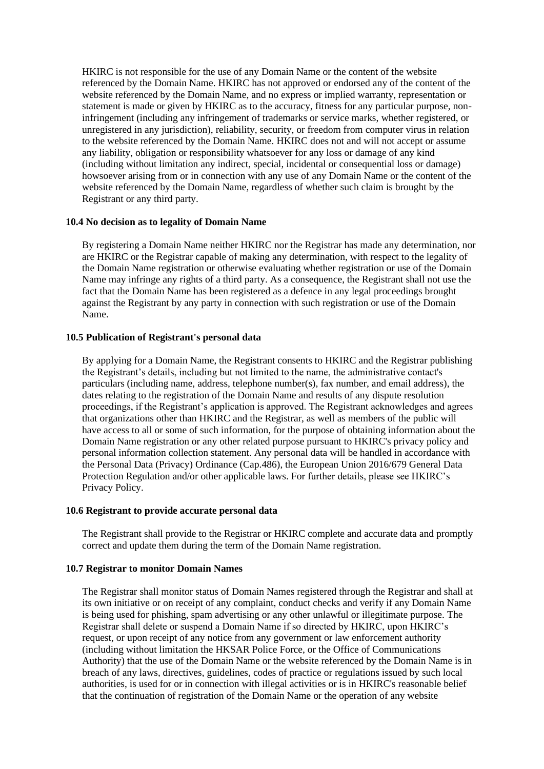HKIRC is not responsible for the use of any Domain Name or the content of the website referenced by the Domain Name. HKIRC has not approved or endorsed any of the content of the website referenced by the Domain Name, and no express or implied warranty, representation or statement is made or given by HKIRC as to the accuracy, fitness for any particular purpose, noninfringement (including any infringement of trademarks or service marks, whether registered, or unregistered in any jurisdiction), reliability, security, or freedom from computer virus in relation to the website referenced by the Domain Name. HKIRC does not and will not accept or assume any liability, obligation or responsibility whatsoever for any loss or damage of any kind (including without limitation any indirect, special, incidental or consequential loss or damage) howsoever arising from or in connection with any use of any Domain Name or the content of the website referenced by the Domain Name, regardless of whether such claim is brought by the Registrant or any third party.

### **10.4 No decision as to legality of Domain Name**

By registering a Domain Name neither HKIRC nor the Registrar has made any determination, nor are HKIRC or the Registrar capable of making any determination, with respect to the legality of the Domain Name registration or otherwise evaluating whether registration or use of the Domain Name may infringe any rights of a third party. As a consequence, the Registrant shall not use the fact that the Domain Name has been registered as a defence in any legal proceedings brought against the Registrant by any party in connection with such registration or use of the Domain Name.

### **10.5 Publication of Registrant's personal data**

By applying for a Domain Name, the Registrant consents to HKIRC and the Registrar publishing the Registrant's details, including but not limited to the name, the administrative contact's particulars (including name, address, telephone number(s), fax number, and email address), the dates relating to the registration of the Domain Name and results of any dispute resolution proceedings, if the Registrant's application is approved. The Registrant acknowledges and agrees that organizations other than HKIRC and the Registrar, as well as members of the public will have access to all or some of such information, for the purpose of obtaining information about the Domain Name registration or any other related purpose pursuant to HKIRC's privacy policy and personal information collection statement. Any personal data will be handled in accordance with the Personal Data (Privacy) Ordinance (Cap.486), the European Union 2016/679 General Data Protection Regulation and/or other applicable laws. For further details, please see HKIRC's Privacy Policy.

#### **10.6 Registrant to provide accurate personal data**

The Registrant shall provide to the Registrar or HKIRC complete and accurate data and promptly correct and update them during the term of the Domain Name registration.

#### **10.7 Registrar to monitor Domain Names**

The Registrar shall monitor status of Domain Names registered through the Registrar and shall at its own initiative or on receipt of any complaint, conduct checks and verify if any Domain Name is being used for phishing, spam advertising or any other unlawful or illegitimate purpose. The Registrar shall delete or suspend a Domain Name if so directed by HKIRC, upon HKIRC's request, or upon receipt of any notice from any government or law enforcement authority (including without limitation the HKSAR Police Force, or the Office of Communications Authority) that the use of the Domain Name or the website referenced by the Domain Name is in breach of any laws, directives, guidelines, codes of practice or regulations issued by such local authorities, is used for or in connection with illegal activities or is in HKIRC's reasonable belief that the continuation of registration of the Domain Name or the operation of any website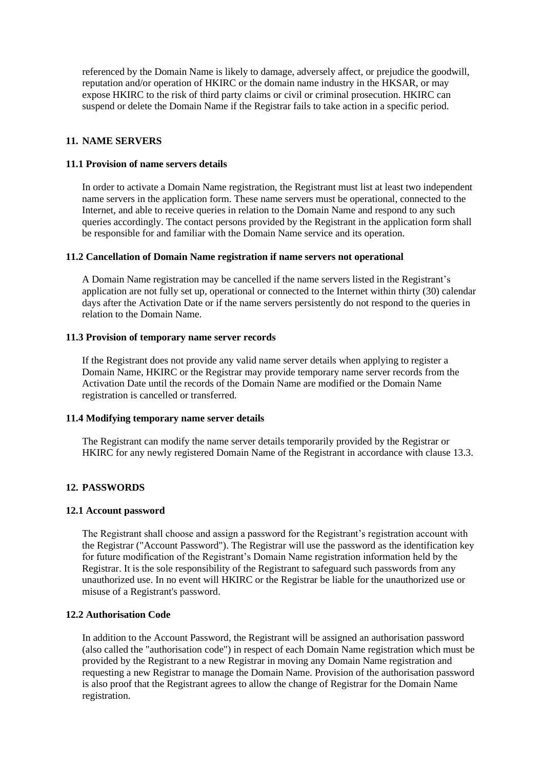referenced by the Domain Name is likely to damage, adversely affect, or prejudice the goodwill, reputation and/or operation of HKIRC or the domain name industry in the HKSAR, or may expose HKIRC to the risk of third party claims or civil or criminal prosecution. HKIRC can suspend or delete the Domain Name if the Registrar fails to take action in a specific period.

### **11. NAME SERVERS**

### **11.1 Provision of name servers details**

In order to activate a Domain Name registration, the Registrant must list at least two independent name servers in the application form. These name servers must be operational, connected to the Internet, and able to receive queries in relation to the Domain Name and respond to any such queries accordingly. The contact persons provided by the Registrant in the application form shall be responsible for and familiar with the Domain Name service and its operation.

#### **11.2 Cancellation of Domain Name registration if name servers not operational**

A Domain Name registration may be cancelled if the name servers listed in the Registrant's application are not fully set up, operational or connected to the Internet within thirty (30) calendar days after the Activation Date or if the name servers persistently do not respond to the queries in relation to the Domain Name.

#### **11.3 Provision of temporary name server records**

If the Registrant does not provide any valid name server details when applying to register a Domain Name, HKIRC or the Registrar may provide temporary name server records from the Activation Date until the records of the Domain Name are modified or the Domain Name registration is cancelled or transferred.

### **11.4 Modifying temporary name server details**

The Registrant can modify the name server details temporarily provided by the Registrar or HKIRC for any newly registered Domain Name of the Registrant in accordance with clause 13.3.

### **12. PASSWORDS**

### **12.1 Account password**

The Registrant shall choose and assign a password for the Registrant's registration account with the Registrar ("Account Password"). The Registrar will use the password as the identification key for future modification of the Registrant's Domain Name registration information held by the Registrar. It is the sole responsibility of the Registrant to safeguard such passwords from any unauthorized use. In no event will HKIRC or the Registrar be liable for the unauthorized use or misuse of a Registrant's password.

### **12.2 Authorisation Code**

In addition to the Account Password, the Registrant will be assigned an authorisation password (also called the "authorisation code") in respect of each Domain Name registration which must be provided by the Registrant to a new Registrar in moving any Domain Name registration and requesting a new Registrar to manage the Domain Name. Provision of the authorisation password is also proof that the Registrant agrees to allow the change of Registrar for the Domain Name registration.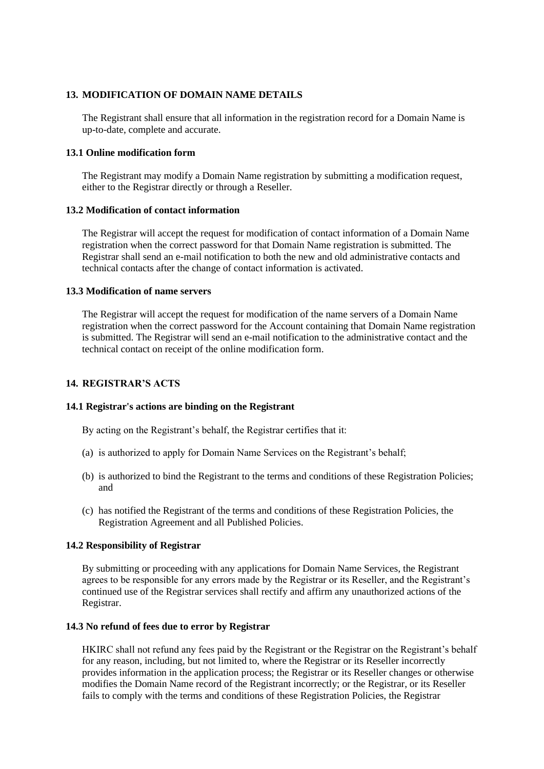# **13. MODIFICATION OF DOMAIN NAME DETAILS**

The Registrant shall ensure that all information in the registration record for a Domain Name is up-to-date, complete and accurate.

### **13.1 Online modification form**

The Registrant may modify a Domain Name registration by submitting a modification request, either to the Registrar directly or through a Reseller.

### **13.2 Modification of contact information**

The Registrar will accept the request for modification of contact information of a Domain Name registration when the correct password for that Domain Name registration is submitted. The Registrar shall send an e-mail notification to both the new and old administrative contacts and technical contacts after the change of contact information is activated.

#### **13.3 Modification of name servers**

The Registrar will accept the request for modification of the name servers of a Domain Name registration when the correct password for the Account containing that Domain Name registration is submitted. The Registrar will send an e-mail notification to the administrative contact and the technical contact on receipt of the online modification form.

# **14. REGISTRAR'S ACTS**

### **14.1 Registrar's actions are binding on the Registrant**

By acting on the Registrant's behalf, the Registrar certifies that it:

- (a) is authorized to apply for Domain Name Services on the Registrant's behalf;
- (b) is authorized to bind the Registrant to the terms and conditions of these Registration Policies; and
- (c) has notified the Registrant of the terms and conditions of these Registration Policies, the Registration Agreement and all Published Policies.

### **14.2 Responsibility of Registrar**

By submitting or proceeding with any applications for Domain Name Services, the Registrant agrees to be responsible for any errors made by the Registrar or its Reseller, and the Registrant's continued use of the Registrar services shall rectify and affirm any unauthorized actions of the Registrar.

### **14.3 No refund of fees due to error by Registrar**

HKIRC shall not refund any fees paid by the Registrant or the Registrar on the Registrant's behalf for any reason, including, but not limited to, where the Registrar or its Reseller incorrectly provides information in the application process; the Registrar or its Reseller changes or otherwise modifies the Domain Name record of the Registrant incorrectly; or the Registrar, or its Reseller fails to comply with the terms and conditions of these Registration Policies, the Registrar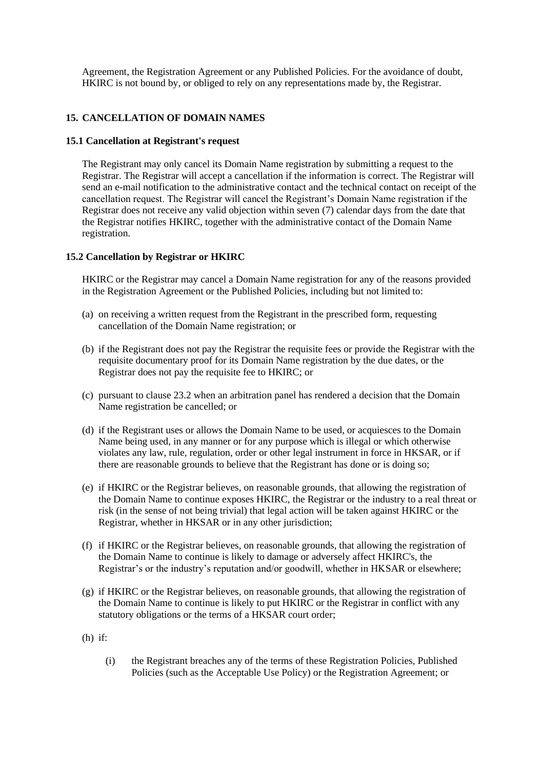Agreement, the Registration Agreement or any Published Policies. For the avoidance of doubt, HKIRC is not bound by, or obliged to rely on any representations made by, the Registrar.

# **15. CANCELLATION OF DOMAIN NAMES**

#### **15.1 Cancellation at Registrant's request**

The Registrant may only cancel its Domain Name registration by submitting a request to the Registrar. The Registrar will accept a cancellation if the information is correct. The Registrar will send an e-mail notification to the administrative contact and the technical contact on receipt of the cancellation request. The Registrar will cancel the Registrant's Domain Name registration if the Registrar does not receive any valid objection within seven (7) calendar days from the date that the Registrar notifies HKIRC, together with the administrative contact of the Domain Name registration.

### **15.2 Cancellation by Registrar or HKIRC**

HKIRC or the Registrar may cancel a Domain Name registration for any of the reasons provided in the Registration Agreement or the Published Policies, including but not limited to:

- (a) on receiving a written request from the Registrant in the prescribed form, requesting cancellation of the Domain Name registration; or
- (b) if the Registrant does not pay the Registrar the requisite fees or provide the Registrar with the requisite documentary proof for its Domain Name registration by the due dates, or the Registrar does not pay the requisite fee to HKIRC; or
- (c) pursuant to clause 23.2 when an arbitration panel has rendered a decision that the Domain Name registration be cancelled; or
- (d) if the Registrant uses or allows the Domain Name to be used, or acquiesces to the Domain Name being used, in any manner or for any purpose which is illegal or which otherwise violates any law, rule, regulation, order or other legal instrument in force in HKSAR, or if there are reasonable grounds to believe that the Registrant has done or is doing so;
- (e) if HKIRC or the Registrar believes, on reasonable grounds, that allowing the registration of the Domain Name to continue exposes HKIRC, the Registrar or the industry to a real threat or risk (in the sense of not being trivial) that legal action will be taken against HKIRC or the Registrar, whether in HKSAR or in any other jurisdiction;
- (f) if HKIRC or the Registrar believes, on reasonable grounds, that allowing the registration of the Domain Name to continue is likely to damage or adversely affect HKIRC's, the Registrar's or the industry's reputation and/or goodwill, whether in HKSAR or elsewhere;
- (g) if HKIRC or the Registrar believes, on reasonable grounds, that allowing the registration of the Domain Name to continue is likely to put HKIRC or the Registrar in conflict with any statutory obligations or the terms of a HKSAR court order;
- (h) if:
	- (i) the Registrant breaches any of the terms of these Registration Policies, Published Policies (such as the Acceptable Use Policy) or the Registration Agreement; or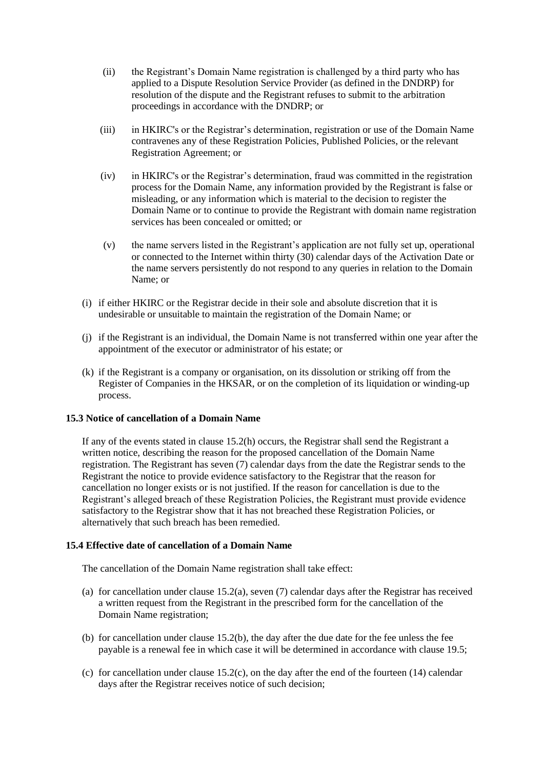- (ii) the Registrant's Domain Name registration is challenged by a third party who has applied to a Dispute Resolution Service Provider (as defined in the DNDRP) for resolution of the dispute and the Registrant refuses to submit to the arbitration proceedings in accordance with the DNDRP; or
- (iii) in HKIRC's or the Registrar's determination, registration or use of the Domain Name contravenes any of these Registration Policies, Published Policies, or the relevant Registration Agreement; or
- (iv) in HKIRC's or the Registrar's determination, fraud was committed in the registration process for the Domain Name, any information provided by the Registrant is false or misleading, or any information which is material to the decision to register the Domain Name or to continue to provide the Registrant with domain name registration services has been concealed or omitted; or
- (v) the name servers listed in the Registrant's application are not fully set up, operational or connected to the Internet within thirty (30) calendar days of the Activation Date or the name servers persistently do not respond to any queries in relation to the Domain Name; or
- (i) if either HKIRC or the Registrar decide in their sole and absolute discretion that it is undesirable or unsuitable to maintain the registration of the Domain Name; or
- (j) if the Registrant is an individual, the Domain Name is not transferred within one year after the appointment of the executor or administrator of his estate; or
- (k) if the Registrant is a company or organisation, on its dissolution or striking off from the Register of Companies in the HKSAR, or on the completion of its liquidation or winding-up process.

### **15.3 Notice of cancellation of a Domain Name**

If any of the events stated in clause 15.2(h) occurs, the Registrar shall send the Registrant a written notice, describing the reason for the proposed cancellation of the Domain Name registration. The Registrant has seven (7) calendar days from the date the Registrar sends to the Registrant the notice to provide evidence satisfactory to the Registrar that the reason for cancellation no longer exists or is not justified. If the reason for cancellation is due to the Registrant's alleged breach of these Registration Policies, the Registrant must provide evidence satisfactory to the Registrar show that it has not breached these Registration Policies, or alternatively that such breach has been remedied.

#### **15.4 Effective date of cancellation of a Domain Name**

The cancellation of the Domain Name registration shall take effect:

- (a) for cancellation under clause 15.2(a), seven (7) calendar days after the Registrar has received a written request from the Registrant in the prescribed form for the cancellation of the Domain Name registration;
- (b) for cancellation under clause 15.2(b), the day after the due date for the fee unless the fee payable is a renewal fee in which case it will be determined in accordance with clause 19.5;
- (c) for cancellation under clause 15.2(c), on the day after the end of the fourteen (14) calendar days after the Registrar receives notice of such decision;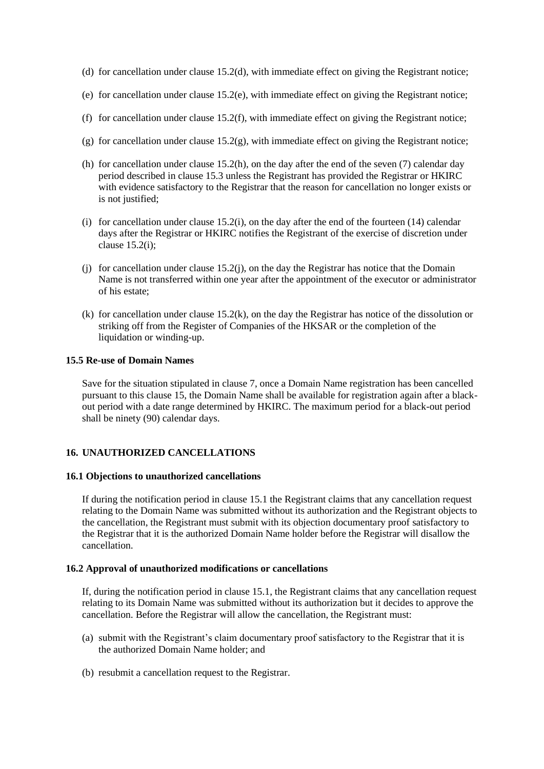- (d) for cancellation under clause 15.2(d), with immediate effect on giving the Registrant notice;
- (e) for cancellation under clause 15.2(e), with immediate effect on giving the Registrant notice;
- (f) for cancellation under clause 15.2(f), with immediate effect on giving the Registrant notice;
- (g) for cancellation under clause  $15.2(g)$ , with immediate effect on giving the Registrant notice;
- (h) for cancellation under clause 15.2(h), on the day after the end of the seven (7) calendar day period described in clause 15.3 unless the Registrant has provided the Registrar or HKIRC with evidence satisfactory to the Registrar that the reason for cancellation no longer exists or is not justified;
- (i) for cancellation under clause 15.2(i), on the day after the end of the fourteen (14) calendar days after the Registrar or HKIRC notifies the Registrant of the exercise of discretion under clause 15.2(i);
- (j) for cancellation under clause 15.2(j), on the day the Registrar has notice that the Domain Name is not transferred within one year after the appointment of the executor or administrator of his estate;
- (k) for cancellation under clause 15.2(k), on the day the Registrar has notice of the dissolution or striking off from the Register of Companies of the HKSAR or the completion of the liquidation or winding-up.

#### **15.5 Re-use of Domain Names**

Save for the situation stipulated in clause 7, once a Domain Name registration has been cancelled pursuant to this clause 15, the Domain Name shall be available for registration again after a blackout period with a date range determined by HKIRC. The maximum period for a black-out period shall be ninety (90) calendar days.

### **16. UNAUTHORIZED CANCELLATIONS**

#### **16.1 Objections to unauthorized cancellations**

If during the notification period in clause 15.1 the Registrant claims that any cancellation request relating to the Domain Name was submitted without its authorization and the Registrant objects to the cancellation, the Registrant must submit with its objection documentary proof satisfactory to the Registrar that it is the authorized Domain Name holder before the Registrar will disallow the cancellation.

#### **16.2 Approval of unauthorized modifications or cancellations**

If, during the notification period in clause 15.1, the Registrant claims that any cancellation request relating to its Domain Name was submitted without its authorization but it decides to approve the cancellation. Before the Registrar will allow the cancellation, the Registrant must:

- (a) submit with the Registrant's claim documentary proof satisfactory to the Registrar that it is the authorized Domain Name holder; and
- (b) resubmit a cancellation request to the Registrar.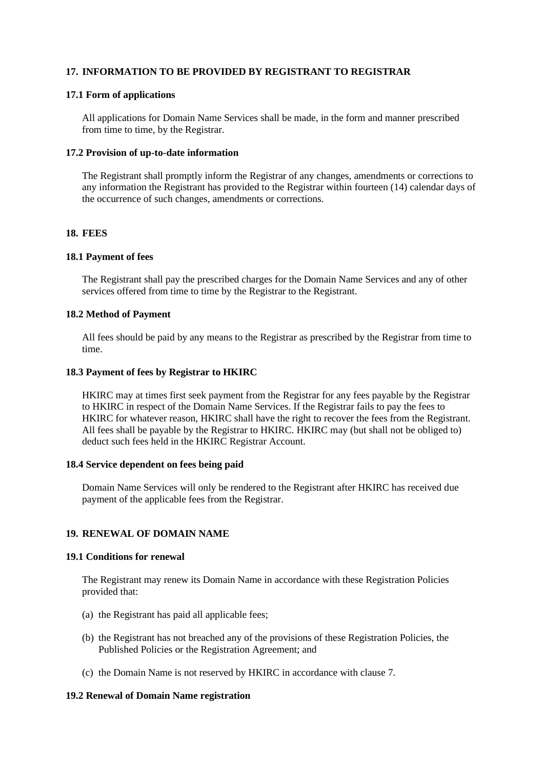# **17. INFORMATION TO BE PROVIDED BY REGISTRANT TO REGISTRAR**

### **17.1 Form of applications**

All applications for Domain Name Services shall be made, in the form and manner prescribed from time to time, by the Registrar.

#### **17.2 Provision of up-to-date information**

The Registrant shall promptly inform the Registrar of any changes, amendments or corrections to any information the Registrant has provided to the Registrar within fourteen (14) calendar days of the occurrence of such changes, amendments or corrections.

#### **18. FEES**

### **18.1 Payment of fees**

The Registrant shall pay the prescribed charges for the Domain Name Services and any of other services offered from time to time by the Registrar to the Registrant.

#### **18.2 Method of Payment**

All fees should be paid by any means to the Registrar as prescribed by the Registrar from time to time.

#### **18.3 Payment of fees by Registrar to HKIRC**

HKIRC may at times first seek payment from the Registrar for any fees payable by the Registrar to HKIRC in respect of the Domain Name Services. If the Registrar fails to pay the fees to HKIRC for whatever reason, HKIRC shall have the right to recover the fees from the Registrant. All fees shall be payable by the Registrar to HKIRC. HKIRC may (but shall not be obliged to) deduct such fees held in the HKIRC Registrar Account.

### **18.4 Service dependent on fees being paid**

Domain Name Services will only be rendered to the Registrant after HKIRC has received due payment of the applicable fees from the Registrar.

### **19. RENEWAL OF DOMAIN NAME**

#### **19.1 Conditions for renewal**

The Registrant may renew its Domain Name in accordance with these Registration Policies provided that:

- (a) the Registrant has paid all applicable fees;
- (b) the Registrant has not breached any of the provisions of these Registration Policies, the Published Policies or the Registration Agreement; and
- (c) the Domain Name is not reserved by HKIRC in accordance with clause 7.

### **19.2 Renewal of Domain Name registration**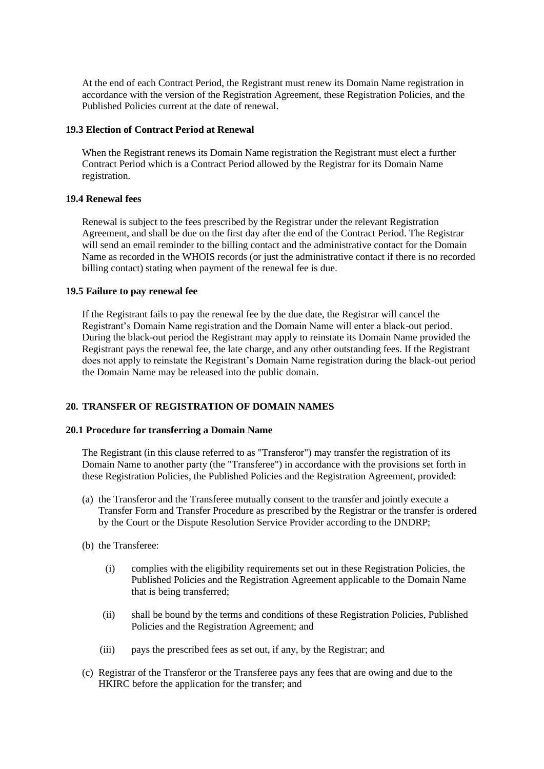At the end of each Contract Period, the Registrant must renew its Domain Name registration in accordance with the version of the Registration Agreement, these Registration Policies, and the Published Policies current at the date of renewal.

### **19.3 Election of Contract Period at Renewal**

When the Registrant renews its Domain Name registration the Registrant must elect a further Contract Period which is a Contract Period allowed by the Registrar for its Domain Name registration.

### **19.4 Renewal fees**

Renewal is subject to the fees prescribed by the Registrar under the relevant Registration Agreement, and shall be due on the first day after the end of the Contract Period. The Registrar will send an email reminder to the billing contact and the administrative contact for the Domain Name as recorded in the WHOIS records (or just the administrative contact if there is no recorded billing contact) stating when payment of the renewal fee is due.

#### **19.5 Failure to pay renewal fee**

If the Registrant fails to pay the renewal fee by the due date, the Registrar will cancel the Registrant's Domain Name registration and the Domain Name will enter a black-out period. During the black-out period the Registrant may apply to reinstate its Domain Name provided the Registrant pays the renewal fee, the late charge, and any other outstanding fees. If the Registrant does not apply to reinstate the Registrant's Domain Name registration during the black-out period the Domain Name may be released into the public domain.

### **20. TRANSFER OF REGISTRATION OF DOMAIN NAMES**

#### **20.1 Procedure for transferring a Domain Name**

The Registrant (in this clause referred to as "Transferor") may transfer the registration of its Domain Name to another party (the "Transferee") in accordance with the provisions set forth in these Registration Policies, the Published Policies and the Registration Agreement, provided:

- (a) the Transferor and the Transferee mutually consent to the transfer and jointly execute a Transfer Form and Transfer Procedure as prescribed by the Registrar or the transfer is ordered by the Court or the Dispute Resolution Service Provider according to the DNDRP;
- (b) the Transferee:
	- (i) complies with the eligibility requirements set out in these Registration Policies, the Published Policies and the Registration Agreement applicable to the Domain Name that is being transferred;
	- (ii) shall be bound by the terms and conditions of these Registration Policies, Published Policies and the Registration Agreement; and
	- (iii) pays the prescribed fees as set out, if any, by the Registrar; and
- (c) Registrar of the Transferor or the Transferee pays any fees that are owing and due to the HKIRC before the application for the transfer; and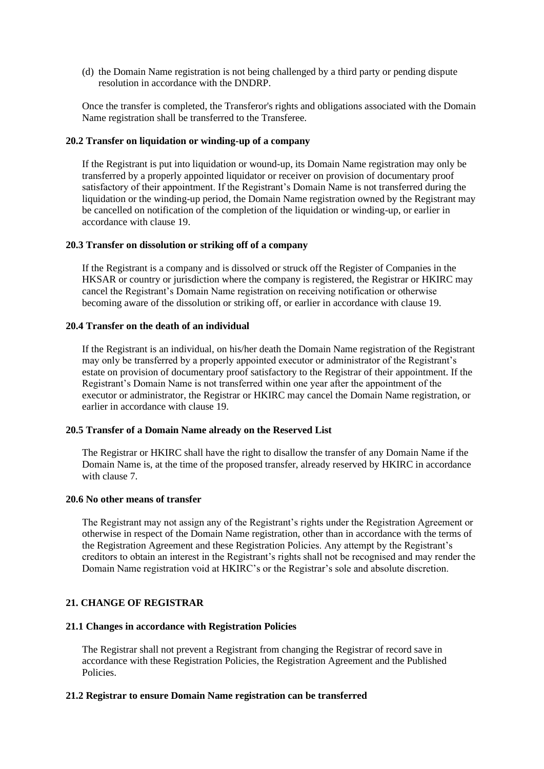(d) the Domain Name registration is not being challenged by a third party or pending dispute resolution in accordance with the DNDRP.

Once the transfer is completed, the Transferor's rights and obligations associated with the Domain Name registration shall be transferred to the Transferee.

#### **20.2 Transfer on liquidation or winding-up of a company**

If the Registrant is put into liquidation or wound-up, its Domain Name registration may only be transferred by a properly appointed liquidator or receiver on provision of documentary proof satisfactory of their appointment. If the Registrant's Domain Name is not transferred during the liquidation or the winding-up period, the Domain Name registration owned by the Registrant may be cancelled on notification of the completion of the liquidation or winding-up, or earlier in accordance with clause 19.

#### **20.3 Transfer on dissolution or striking off of a company**

If the Registrant is a company and is dissolved or struck off the Register of Companies in the HKSAR or country or jurisdiction where the company is registered, the Registrar or HKIRC may cancel the Registrant's Domain Name registration on receiving notification or otherwise becoming aware of the dissolution or striking off, or earlier in accordance with clause 19.

#### **20.4 Transfer on the death of an individual**

If the Registrant is an individual, on his/her death the Domain Name registration of the Registrant may only be transferred by a properly appointed executor or administrator of the Registrant's estate on provision of documentary proof satisfactory to the Registrar of their appointment. If the Registrant's Domain Name is not transferred within one year after the appointment of the executor or administrator, the Registrar or HKIRC may cancel the Domain Name registration, or earlier in accordance with clause 19.

#### **20.5 Transfer of a Domain Name already on the Reserved List**

The Registrar or HKIRC shall have the right to disallow the transfer of any Domain Name if the Domain Name is, at the time of the proposed transfer, already reserved by HKIRC in accordance with clause 7.

### **20.6 No other means of transfer**

The Registrant may not assign any of the Registrant's rights under the Registration Agreement or otherwise in respect of the Domain Name registration, other than in accordance with the terms of the Registration Agreement and these Registration Policies. Any attempt by the Registrant's creditors to obtain an interest in the Registrant's rights shall not be recognised and may render the Domain Name registration void at HKIRC's or the Registrar's sole and absolute discretion.

### **21. CHANGE OF REGISTRAR**

### **21.1 Changes in accordance with Registration Policies**

The Registrar shall not prevent a Registrant from changing the Registrar of record save in accordance with these Registration Policies, the Registration Agreement and the Published Policies.

### **21.2 Registrar to ensure Domain Name registration can be transferred**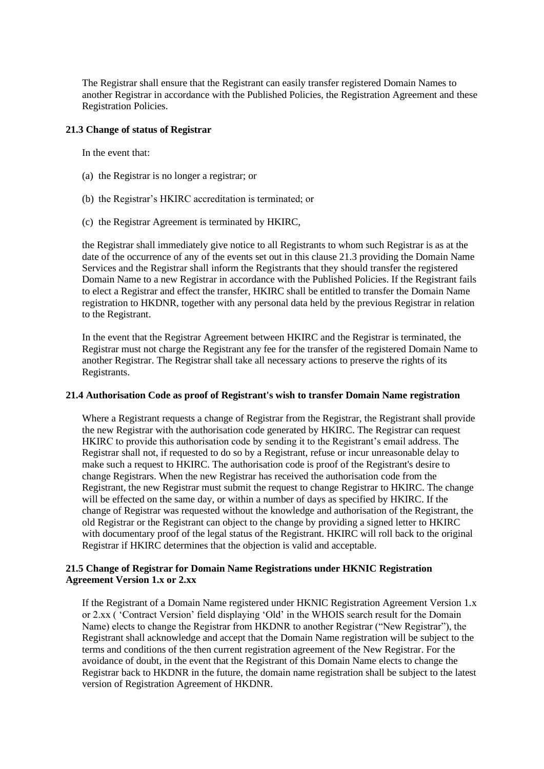The Registrar shall ensure that the Registrant can easily transfer registered Domain Names to another Registrar in accordance with the Published Policies, the Registration Agreement and these Registration Policies.

### **21.3 Change of status of Registrar**

In the event that:

- (a) the Registrar is no longer a registrar; or
- (b) the Registrar's HKIRC accreditation is terminated; or
- (c) the Registrar Agreement is terminated by HKIRC,

the Registrar shall immediately give notice to all Registrants to whom such Registrar is as at the date of the occurrence of any of the events set out in this clause 21.3 providing the Domain Name Services and the Registrar shall inform the Registrants that they should transfer the registered Domain Name to a new Registrar in accordance with the Published Policies. If the Registrant fails to elect a Registrar and effect the transfer, HKIRC shall be entitled to transfer the Domain Name registration to HKDNR, together with any personal data held by the previous Registrar in relation to the Registrant.

In the event that the Registrar Agreement between HKIRC and the Registrar is terminated, the Registrar must not charge the Registrant any fee for the transfer of the registered Domain Name to another Registrar. The Registrar shall take all necessary actions to preserve the rights of its Registrants.

#### **21.4 Authorisation Code as proof of Registrant's wish to transfer Domain Name registration**

Where a Registrant requests a change of Registrar from the Registrar, the Registrant shall provide the new Registrar with the authorisation code generated by HKIRC. The Registrar can request HKIRC to provide this authorisation code by sending it to the Registrant's email address. The Registrar shall not, if requested to do so by a Registrant, refuse or incur unreasonable delay to make such a request to HKIRC. The authorisation code is proof of the Registrant's desire to change Registrars. When the new Registrar has received the authorisation code from the Registrant, the new Registrar must submit the request to change Registrar to HKIRC. The change will be effected on the same day, or within a number of days as specified by HKIRC. If the change of Registrar was requested without the knowledge and authorisation of the Registrant, the old Registrar or the Registrant can object to the change by providing a signed letter to HKIRC with documentary proof of the legal status of the Registrant. HKIRC will roll back to the original Registrar if HKIRC determines that the objection is valid and acceptable.

### **21.5 Change of Registrar for Domain Name Registrations under HKNIC Registration Agreement Version 1.x or 2.xx**

If the Registrant of a Domain Name registered under HKNIC Registration Agreement Version 1.x or 2.xx ( 'Contract Version' field displaying 'Old' in the WHOIS search result for the Domain Name) elects to change the Registrar from HKDNR to another Registrar ("New Registrar"), the Registrant shall acknowledge and accept that the Domain Name registration will be subject to the terms and conditions of the then current registration agreement of the New Registrar. For the avoidance of doubt, in the event that the Registrant of this Domain Name elects to change the Registrar back to HKDNR in the future, the domain name registration shall be subject to the latest version of Registration Agreement of HKDNR.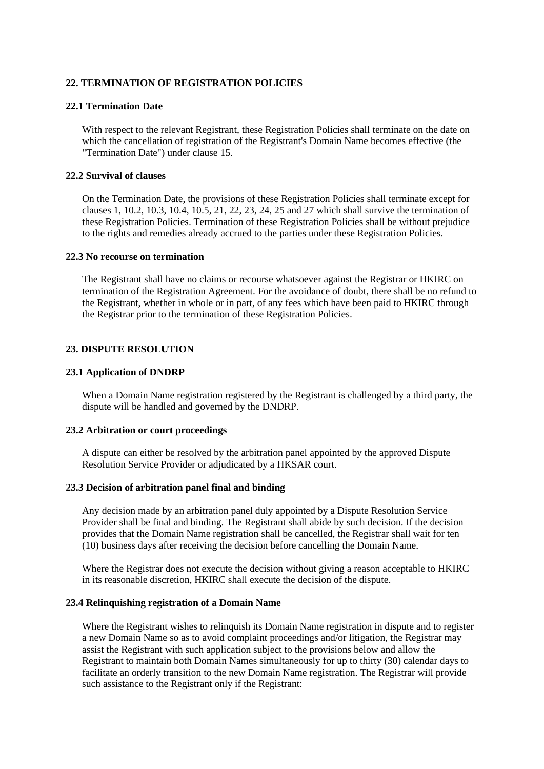### **22. TERMINATION OF REGISTRATION POLICIES**

### **22.1 Termination Date**

With respect to the relevant Registrant, these Registration Policies shall terminate on the date on which the cancellation of registration of the Registrant's Domain Name becomes effective (the "Termination Date") under clause 15.

### **22.2 Survival of clauses**

On the Termination Date, the provisions of these Registration Policies shall terminate except for clauses 1, 10.2, 10.3, 10.4, 10.5, 21, 22, 23, 24, 25 and 27 which shall survive the termination of these Registration Policies. Termination of these Registration Policies shall be without prejudice to the rights and remedies already accrued to the parties under these Registration Policies.

#### **22.3 No recourse on termination**

The Registrant shall have no claims or recourse whatsoever against the Registrar or HKIRC on termination of the Registration Agreement. For the avoidance of doubt, there shall be no refund to the Registrant, whether in whole or in part, of any fees which have been paid to HKIRC through the Registrar prior to the termination of these Registration Policies.

### **23. DISPUTE RESOLUTION**

#### **23.1 Application of DNDRP**

When a Domain Name registration registered by the Registrant is challenged by a third party, the dispute will be handled and governed by the DNDRP.

#### **23.2 Arbitration or court proceedings**

A dispute can either be resolved by the arbitration panel appointed by the approved Dispute Resolution Service Provider or adjudicated by a HKSAR court.

#### **23.3 Decision of arbitration panel final and binding**

Any decision made by an arbitration panel duly appointed by a Dispute Resolution Service Provider shall be final and binding. The Registrant shall abide by such decision. If the decision provides that the Domain Name registration shall be cancelled, the Registrar shall wait for ten (10) business days after receiving the decision before cancelling the Domain Name.

Where the Registrar does not execute the decision without giving a reason acceptable to HKIRC in its reasonable discretion, HKIRC shall execute the decision of the dispute.

#### **23.4 Relinquishing registration of a Domain Name**

Where the Registrant wishes to relinquish its Domain Name registration in dispute and to register a new Domain Name so as to avoid complaint proceedings and/or litigation, the Registrar may assist the Registrant with such application subject to the provisions below and allow the Registrant to maintain both Domain Names simultaneously for up to thirty (30) calendar days to facilitate an orderly transition to the new Domain Name registration. The Registrar will provide such assistance to the Registrant only if the Registrant: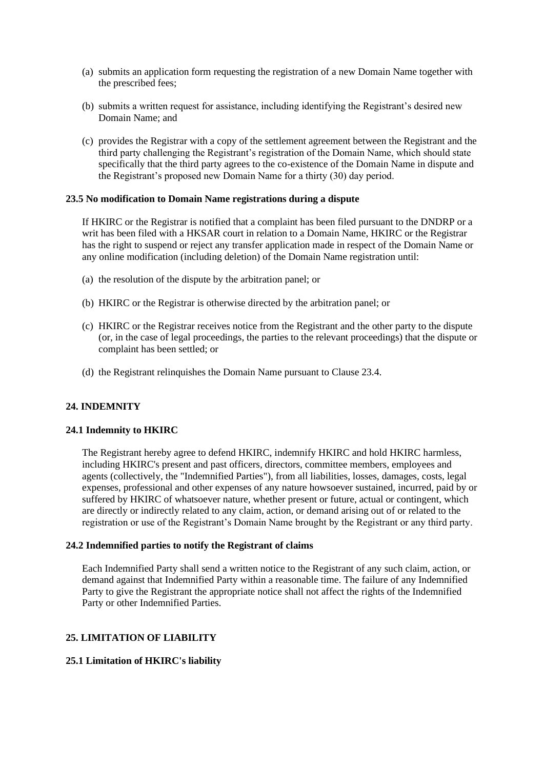- (a) submits an application form requesting the registration of a new Domain Name together with the prescribed fees;
- (b) submits a written request for assistance, including identifying the Registrant's desired new Domain Name; and
- (c) provides the Registrar with a copy of the settlement agreement between the Registrant and the third party challenging the Registrant's registration of the Domain Name, which should state specifically that the third party agrees to the co-existence of the Domain Name in dispute and the Registrant's proposed new Domain Name for a thirty (30) day period.

### **23.5 No modification to Domain Name registrations during a dispute**

If HKIRC or the Registrar is notified that a complaint has been filed pursuant to the DNDRP or a writ has been filed with a HKSAR court in relation to a Domain Name, HKIRC or the Registrar has the right to suspend or reject any transfer application made in respect of the Domain Name or any online modification (including deletion) of the Domain Name registration until:

- (a) the resolution of the dispute by the arbitration panel; or
- (b) HKIRC or the Registrar is otherwise directed by the arbitration panel; or
- (c) HKIRC or the Registrar receives notice from the Registrant and the other party to the dispute (or, in the case of legal proceedings, the parties to the relevant proceedings) that the dispute or complaint has been settled; or
- (d) the Registrant relinquishes the Domain Name pursuant to Clause 23.4.

### **24. INDEMNITY**

#### **24.1 Indemnity to HKIRC**

The Registrant hereby agree to defend HKIRC, indemnify HKIRC and hold HKIRC harmless, including HKIRC's present and past officers, directors, committee members, employees and agents (collectively, the "Indemnified Parties"), from all liabilities, losses, damages, costs, legal expenses, professional and other expenses of any nature howsoever sustained, incurred, paid by or suffered by HKIRC of whatsoever nature, whether present or future, actual or contingent, which are directly or indirectly related to any claim, action, or demand arising out of or related to the registration or use of the Registrant's Domain Name brought by the Registrant or any third party.

#### **24.2 Indemnified parties to notify the Registrant of claims**

Each Indemnified Party shall send a written notice to the Registrant of any such claim, action, or demand against that Indemnified Party within a reasonable time. The failure of any Indemnified Party to give the Registrant the appropriate notice shall not affect the rights of the Indemnified Party or other Indemnified Parties.

### **25. LIMITATION OF LIABILITY**

### **25.1 Limitation of HKIRC's liability**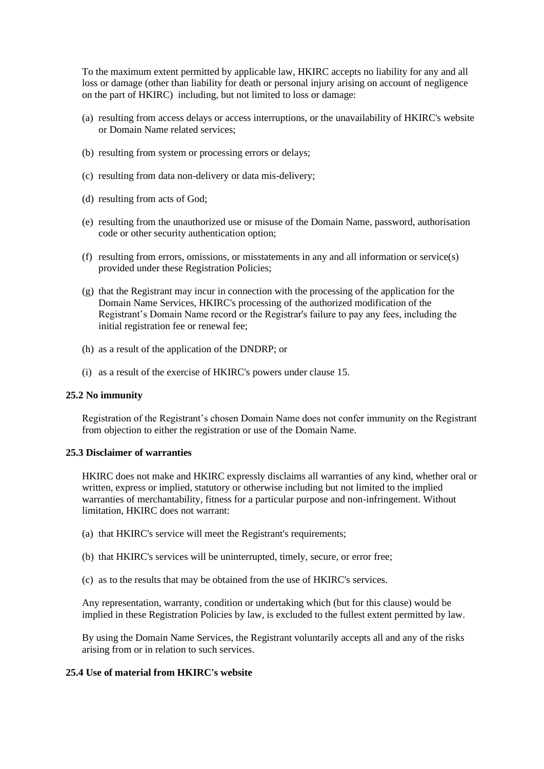To the maximum extent permitted by applicable law, HKIRC accepts no liability for any and all loss or damage (other than liability for death or personal injury arising on account of negligence on the part of HKIRC) including, but not limited to loss or damage:

- (a) resulting from access delays or access interruptions, or the unavailability of HKIRC's website or Domain Name related services;
- (b) resulting from system or processing errors or delays;
- (c) resulting from data non-delivery or data mis-delivery;
- (d) resulting from acts of God;
- (e) resulting from the unauthorized use or misuse of the Domain Name, password, authorisation code or other security authentication option;
- (f) resulting from errors, omissions, or misstatements in any and all information or service(s) provided under these Registration Policies;
- (g) that the Registrant may incur in connection with the processing of the application for the Domain Name Services, HKIRC's processing of the authorized modification of the Registrant's Domain Name record or the Registrar's failure to pay any fees, including the initial registration fee or renewal fee;
- (h) as a result of the application of the DNDRP; or
- (i) as a result of the exercise of HKIRC's powers under clause 15.

#### **25.2 No immunity**

Registration of the Registrant's chosen Domain Name does not confer immunity on the Registrant from objection to either the registration or use of the Domain Name.

#### **25.3 Disclaimer of warranties**

HKIRC does not make and HKIRC expressly disclaims all warranties of any kind, whether oral or written, express or implied, statutory or otherwise including but not limited to the implied warranties of merchantability, fitness for a particular purpose and non-infringement. Without limitation, HKIRC does not warrant:

- (a) that HKIRC's service will meet the Registrant's requirements;
- (b) that HKIRC's services will be uninterrupted, timely, secure, or error free;
- (c) as to the results that may be obtained from the use of HKIRC's services.

Any representation, warranty, condition or undertaking which (but for this clause) would be implied in these Registration Policies by law, is excluded to the fullest extent permitted by law.

By using the Domain Name Services, the Registrant voluntarily accepts all and any of the risks arising from or in relation to such services.

#### **25.4 Use of material from HKIRC's website**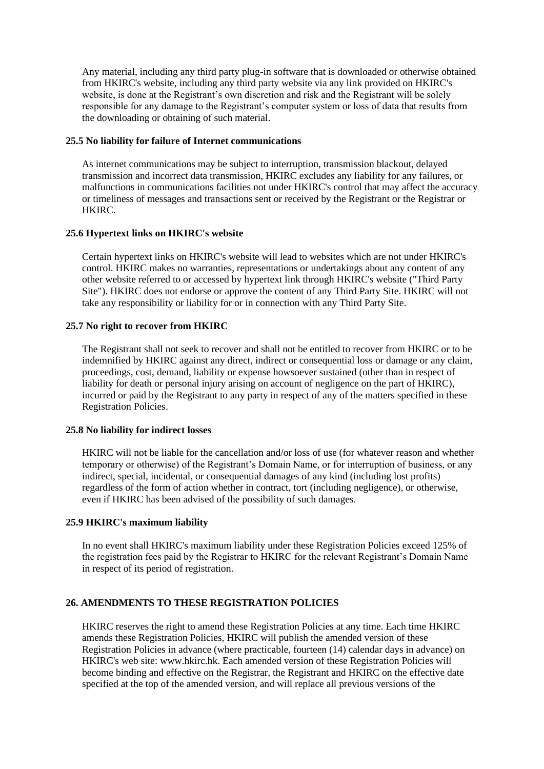Any material, including any third party plug-in software that is downloaded or otherwise obtained from HKIRC's website, including any third party website via any link provided on HKIRC's website, is done at the Registrant's own discretion and risk and the Registrant will be solely responsible for any damage to the Registrant's computer system or loss of data that results from the downloading or obtaining of such material.

### **25.5 No liability for failure of Internet communications**

As internet communications may be subject to interruption, transmission blackout, delayed transmission and incorrect data transmission, HKIRC excludes any liability for any failures, or malfunctions in communications facilities not under HKIRC's control that may affect the accuracy or timeliness of messages and transactions sent or received by the Registrant or the Registrar or HKIRC.

### **25.6 Hypertext links on HKIRC's website**

Certain hypertext links on HKIRC's website will lead to websites which are not under HKIRC's control. HKIRC makes no warranties, representations or undertakings about any content of any other website referred to or accessed by hypertext link through HKIRC's website ("Third Party Site"). HKIRC does not endorse or approve the content of any Third Party Site. HKIRC will not take any responsibility or liability for or in connection with any Third Party Site.

#### **25.7 No right to recover from HKIRC**

The Registrant shall not seek to recover and shall not be entitled to recover from HKIRC or to be indemnified by HKIRC against any direct, indirect or consequential loss or damage or any claim, proceedings, cost, demand, liability or expense howsoever sustained (other than in respect of liability for death or personal injury arising on account of negligence on the part of HKIRC), incurred or paid by the Registrant to any party in respect of any of the matters specified in these Registration Policies.

### **25.8 No liability for indirect losses**

HKIRC will not be liable for the cancellation and/or loss of use (for whatever reason and whether temporary or otherwise) of the Registrant's Domain Name, or for interruption of business, or any indirect, special, incidental, or consequential damages of any kind (including lost profits) regardless of the form of action whether in contract, tort (including negligence), or otherwise, even if HKIRC has been advised of the possibility of such damages.

### **25.9 HKIRC's maximum liability**

In no event shall HKIRC's maximum liability under these Registration Policies exceed 125% of the registration fees paid by the Registrar to HKIRC for the relevant Registrant's Domain Name in respect of its period of registration.

### **26. AMENDMENTS TO THESE REGISTRATION POLICIES**

HKIRC reserves the right to amend these Registration Policies at any time. Each time HKIRC amends these Registration Policies, HKIRC will publish the amended version of these Registration Policies in advance (where practicable, fourteen (14) calendar days in advance) on HKIRC's web site: www.hkirc.hk. Each amended version of these Registration Policies will become binding and effective on the Registrar, the Registrant and HKIRC on the effective date specified at the top of the amended version, and will replace all previous versions of the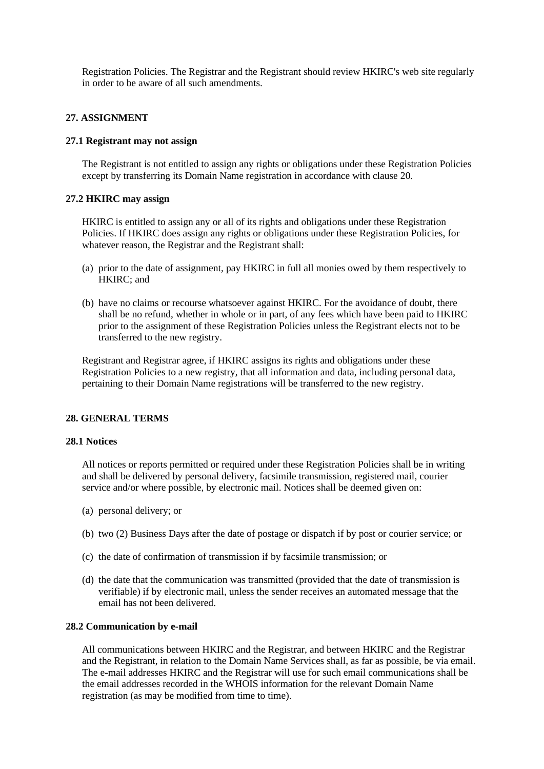Registration Policies. The Registrar and the Registrant should review HKIRC's web site regularly in order to be aware of all such amendments.

### **27. ASSIGNMENT**

### **27.1 Registrant may not assign**

The Registrant is not entitled to assign any rights or obligations under these Registration Policies except by transferring its Domain Name registration in accordance with clause 20.

### **27.2 HKIRC may assign**

HKIRC is entitled to assign any or all of its rights and obligations under these Registration Policies. If HKIRC does assign any rights or obligations under these Registration Policies, for whatever reason, the Registrar and the Registrant shall:

- (a) prior to the date of assignment, pay HKIRC in full all monies owed by them respectively to HKIRC; and
- (b) have no claims or recourse whatsoever against HKIRC. For the avoidance of doubt, there shall be no refund, whether in whole or in part, of any fees which have been paid to HKIRC prior to the assignment of these Registration Policies unless the Registrant elects not to be transferred to the new registry.

Registrant and Registrar agree, if HKIRC assigns its rights and obligations under these Registration Policies to a new registry, that all information and data, including personal data, pertaining to their Domain Name registrations will be transferred to the new registry.

### **28. GENERAL TERMS**

#### **28.1 Notices**

All notices or reports permitted or required under these Registration Policies shall be in writing and shall be delivered by personal delivery, facsimile transmission, registered mail, courier service and/or where possible, by electronic mail. Notices shall be deemed given on:

- (a) personal delivery; or
- (b) two (2) Business Days after the date of postage or dispatch if by post or courier service; or
- (c) the date of confirmation of transmission if by facsimile transmission; or
- (d) the date that the communication was transmitted (provided that the date of transmission is verifiable) if by electronic mail, unless the sender receives an automated message that the email has not been delivered.

# **28.2 Communication by e-mail**

All communications between HKIRC and the Registrar, and between HKIRC and the Registrar and the Registrant, in relation to the Domain Name Services shall, as far as possible, be via email. The e-mail addresses HKIRC and the Registrar will use for such email communications shall be the email addresses recorded in the WHOIS information for the relevant Domain Name registration (as may be modified from time to time).